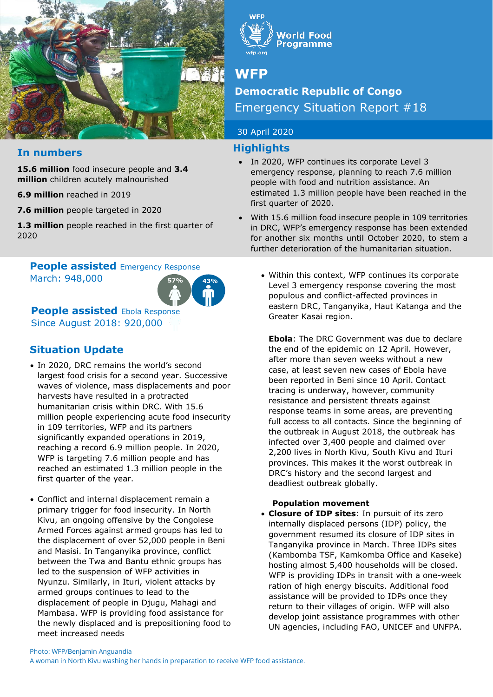



# **WFP**

# **Democratic Republic of Congo**  Emergency Situation Report #18

## 30 April 2020

## **Highlights**

- In 2020, WFP continues its corporate Level 3 emergency response, planning to reach 7.6 million people with food and nutrition assistance. An estimated 1.3 million people have been reached in the first quarter of 2020.
- With 15.6 million food insecure people in 109 territories in DRC, WFP's emergency response has been extended for another six months until October 2020, to stem a further deterioration of the humanitarian situation.

# **In numbers**

**15.6 million** food insecure people and **3.4 million** children acutely malnourished

- **6.9 million** reached in 2019
- **7.6 million** people targeted in 2020

**1.3 million** people reached in the first quarter of 2020

# **People assisted Emergency Response**

March: 948,000



**People assisted Ebola Response** Since August 2018: 920,000

# **Situation Update**

- In 2020, DRC remains the world's second largest food crisis for a second year. Successive waves of violence, mass displacements and poor harvests have resulted in a protracted humanitarian crisis within DRC. With 15.6 million people experiencing acute food insecurity in 109 territories, WFP and its partners significantly expanded operations in 2019, reaching a record 6.9 million people. In 2020, WFP is targeting 7.6 million people and has reached an estimated 1.3 million people in the first quarter of the year.
- Conflict and internal displacement remain a primary trigger for food insecurity. In North Kivu, an ongoing offensive by the Congolese Armed Forces against armed groups has led to the displacement of over 52,000 people in Beni and Masisi. In Tanganyika province, conflict between the Twa and Bantu ethnic groups has led to the suspension of WFP activities in Nyunzu. Similarly, in Ituri, violent attacks by armed groups continues to lead to the displacement of people in Djugu, Mahagi and Mambasa. WFP is providing food assistance for the newly displaced and is prepositioning food to meet increased needs

• Within this context, WFP continues its corporate Level 3 emergency response covering the most populous and conflict-affected provinces in eastern DRC, Tanganyika, Haut Katanga and the Greater Kasai region.

**Ebola**: The DRC Government was due to declare the end of the epidemic on 12 April. However, after more than seven weeks without a new case, at least seven new cases of Ebola have been reported in Beni since 10 April. Contact tracing is underway, however, community resistance and persistent threats against response teams in some areas, are preventing full access to all contacts. Since the beginning of the outbreak in August 2018, the outbreak has infected over 3,400 people and claimed over 2,200 lives in North Kivu, South Kivu and Ituri provinces. This makes it the worst outbreak in DRC's history and the second largest and deadliest outbreak globally.

#### **Population movement**

• **Closure of IDP sites**: In pursuit of its zero internally displaced persons (IDP) policy, the government resumed its closure of IDP sites in Tanganyika province in March. Three IDPs sites (Kambomba TSF, Kamkomba Office and Kaseke) hosting almost 5,400 households will be closed. WFP is providing IDPs in transit with a one-week ration of high energy biscuits. Additional food assistance will be provided to IDPs once they return to their villages of origin. WFP will also develop joint assistance programmes with other UN agencies, including FAO, UNICEF and UNFPA.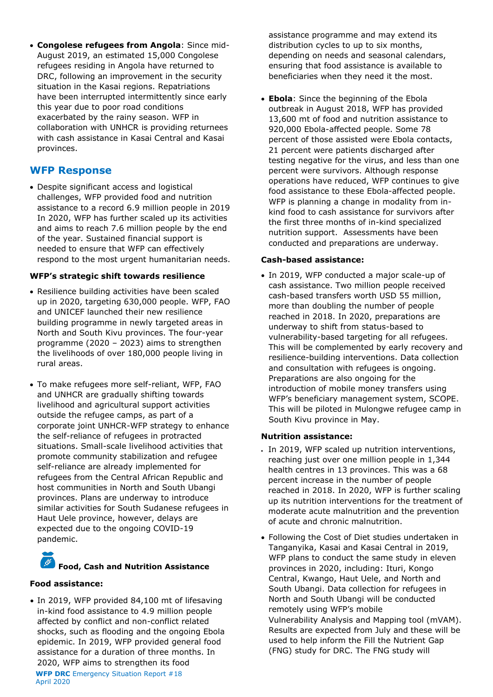• **Congolese refugees from Angola**: Since mid-August 2019, an estimated 15,000 Congolese refugees residing in Angola have returned to DRC, following an improvement in the security situation in the Kasai regions. Repatriations have been interrupted intermittently since early this year due to poor road conditions exacerbated by the rainy season. WFP in collaboration with UNHCR is providing returnees with cash assistance in Kasai Central and Kasai provinces.

### **WFP Response**

• Despite significant access and logistical challenges, WFP provided food and nutrition assistance to a record 6.9 million people in 2019 In 2020, WFP has further scaled up its activities and aims to reach 7.6 million people by the end of the year. Sustained financial support is needed to ensure that WFP can effectively respond to the most urgent humanitarian needs.

#### **WFP's strategic shift towards resilience**

- Resilience building activities have been scaled up in 2020, targeting 630,000 people. WFP, FAO and UNICEF launched their new resilience building programme in newly targeted areas in North and South Kivu provinces. The four-year programme (2020 – 2023) aims to strengthen the livelihoods of over 180,000 people living in rural areas.
- To make refugees more self-reliant, WFP, FAO and UNHCR are gradually shifting towards livelihood and agricultural support activities outside the refugee camps, as part of a corporate joint UNHCR-WFP strategy to enhance the self-reliance of refugees in protracted situations. Small-scale livelihood activities that promote community stabilization and refugee self-reliance are already implemented for refugees from the Central African Republic and host communities in North and South Ubangi provinces. Plans are underway to introduce similar activities for South Sudanese refugees in Haut Uele province, however, delays are expected due to the ongoing COVID-19 pandemic.

# **Food, Cash and Nutrition Assistance**

#### **Food assistance:**

• In 2019, WFP provided 84,100 mt of lifesaving in-kind food assistance to 4.9 million people affected by conflict and non-conflict related shocks, such as flooding and the ongoing Ebola epidemic. In 2019, WFP provided general food assistance for a duration of three months. In 2020, WFP aims to strengthen its food

**WFP DRC** Emergency Situation Report #18 April 2020

assistance programme and may extend its distribution cycles to up to six months, depending on needs and seasonal calendars, ensuring that food assistance is available to beneficiaries when they need it the most.

• **Ebola**: Since the beginning of the Ebola outbreak in August 2018, WFP has provided 13,600 mt of food and nutrition assistance to 920,000 Ebola-affected people. Some 78 percent of those assisted were Ebola contacts, 21 percent were patients discharged after testing negative for the virus, and less than one percent were survivors. Although response operations have reduced, WFP continues to give food assistance to these Ebola-affected people. WFP is planning a change in modality from inkind food to cash assistance for survivors after the first three months of in-kind specialized nutrition support. Assessments have been conducted and preparations are underway.

#### **Cash-based assistance:**

• In 2019, WFP conducted a major scale-up of cash assistance. Two million people received cash-based transfers worth USD 55 million, more than doubling the number of people reached in 2018. In 2020, preparations are underway to shift from status-based to vulnerability-based targeting for all refugees. This will be complemented by early recovery and resilience-building interventions. Data collection and consultation with refugees is ongoing. Preparations are also ongoing for the introduction of mobile money transfers using WFP's beneficiary management system, SCOPE. This will be piloted in Mulongwe refugee camp in South Kivu province in May.

#### **Nutrition assistance:**

- In 2019, WFP scaled up nutrition interventions, reaching just over one million people in 1,344 health centres in 13 provinces. This was a 68 percent increase in the number of people reached in 2018. In 2020, WFP is further scaling up its nutrition interventions for the treatment of moderate acute malnutrition and the prevention of acute and chronic malnutrition.
- Following the Cost of Diet studies undertaken in Tanganyika, Kasai and Kasai Central in 2019, WFP plans to conduct the same study in eleven provinces in 2020, including: Ituri, Kongo Central, Kwango, Haut Uele, and North and South Ubangi. Data collection for refugees in North and South Ubangi will be conducted remotely using WFP's mobile Vulnerability Analysis and Mapping tool (mVAM). Results are expected from July and these will be used to help inform the Fill the Nutrient Gap (FNG) study for DRC. The FNG study will